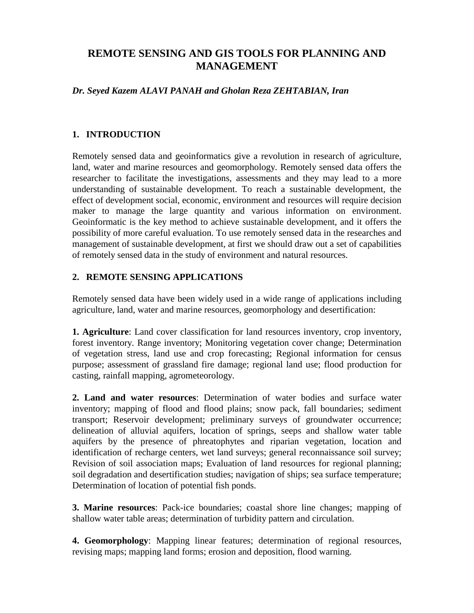# **REMOTE SENSING AND GIS TOOLS FOR PLANNING AND MANAGEMENT**

### *Dr. Seyed Kazem ALAVI PANAH and Gholan Reza ZEHTABIAN, Iran*

# **1. INTRODUCTION**

Remotely sensed data and geoinformatics give a revolution in research of agriculture, land, water and marine resources and geomorphology. Remotely sensed data offers the researcher to facilitate the investigations, assessments and they may lead to a more understanding of sustainable development. To reach a sustainable development, the effect of development social, economic, environment and resources will require decision maker to manage the large quantity and various information on environment. Geoinformatic is the key method to achieve sustainable development, and it offers the possibility of more careful evaluation. To use remotely sensed data in the researches and management of sustainable development, at first we should draw out a set of capabilities of remotely sensed data in the study of environment and natural resources.

# **2. REMOTE SENSING APPLICATIONS**

Remotely sensed data have been widely used in a wide range of applications including agriculture, land, water and marine resources, geomorphology and desertification:

**1. Agriculture**: Land cover classification for land resources inventory, crop inventory, forest inventory. Range inventory; Monitoring vegetation cover change; Determination of vegetation stress, land use and crop forecasting; Regional information for census purpose; assessment of grassland fire damage; regional land use; flood production for casting, rainfall mapping, agrometeorology.

**2. Land and water resources**: Determination of water bodies and surface water inventory; mapping of flood and flood plains; snow pack, fall boundaries; sediment transport; Reservoir development; preliminary surveys of groundwater occurrence; delineation of alluvial aquifers, location of springs, seeps and shallow water table aquifers by the presence of phreatophytes and riparian vegetation, location and identification of recharge centers, wet land surveys; general reconnaissance soil survey; Revision of soil association maps; Evaluation of land resources for regional planning; soil degradation and desertification studies; navigation of ships; sea surface temperature; Determination of location of potential fish ponds.

**3. Marine resources**: Pack-ice boundaries; coastal shore line changes; mapping of shallow water table areas; determination of turbidity pattern and circulation.

**4. Geomorphology**: Mapping linear features; determination of regional resources, revising maps; mapping land forms; erosion and deposition, flood warning.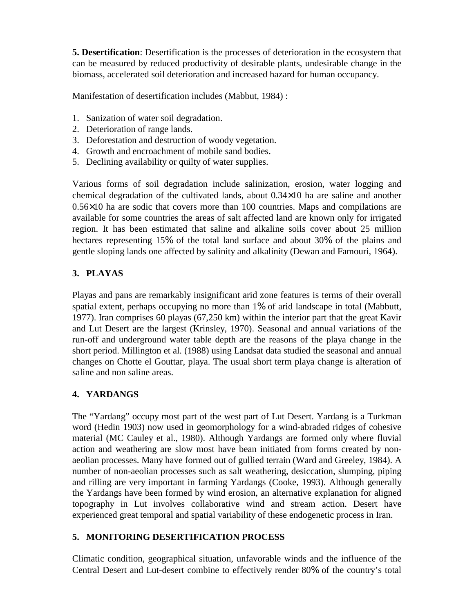**5. Desertification**: Desertification is the processes of deterioration in the ecosystem that can be measured by reduced productivity of desirable plants, undesirable change in the biomass, accelerated soil deterioration and increased hazard for human occupancy.

Manifestation of desertification includes (Mabbut, 1984) :

- 1. Sanization of water soil degradation.
- 2. Deterioration of range lands.
- 3. Deforestation and destruction of woody vegetation.
- 4. Growth and encroachment of mobile sand bodies.
- 5. Declining availability or quilty of water supplies.

Various forms of soil degradation include salinization, erosion, water logging and chemical degradation of the cultivated lands, about 0.34×10 ha are saline and another 0.56×10 ha are sodic that covers more than 100 countries. Maps and compilations are available for some countries the areas of salt affected land are known only for irrigated region. It has been estimated that saline and alkaline soils cover about 25 million hectares representing 15% of the total land surface and about 30% of the plains and gentle sloping lands one affected by salinity and alkalinity (Dewan and Famouri, 1964).

# **3. PLAYAS**

Playas and pans are remarkably insignificant arid zone features is terms of their overall spatial extent, perhaps occupying no more than 1% of arid landscape in total (Mabbutt, 1977). Iran comprises 60 playas (67,250 km) within the interior part that the great Kavir and Lut Desert are the largest (Krinsley, 1970). Seasonal and annual variations of the run-off and underground water table depth are the reasons of the playa change in the short period. Millington et al. (1988) using Landsat data studied the seasonal and annual changes on Chotte el Gouttar, playa. The usual short term playa change is alteration of saline and non saline areas.

# **4. YARDANGS**

The "Yardang" occupy most part of the west part of Lut Desert. Yardang is a Turkman word (Hedin 1903) now used in geomorphology for a wind-abraded ridges of cohesive material (MC Cauley et al., 1980). Although Yardangs are formed only where fluvial action and weathering are slow most have bean initiated from forms created by nonaeolian processes. Many have formed out of gullied terrain (Ward and Greeley, 1984). A number of non-aeolian processes such as salt weathering, desiccation, slumping, piping and rilling are very important in farming Yardangs (Cooke, 1993). Although generally the Yardangs have been formed by wind erosion, an alternative explanation for aligned topography in Lut involves collaborative wind and stream action. Desert have experienced great temporal and spatial variability of these endogenetic process in Iran.

# **5. MONITORING DESERTIFICATION PROCESS**

Climatic condition, geographical situation, unfavorable winds and the influence of the Central Desert and Lut-desert combine to effectively render 80% of the country's total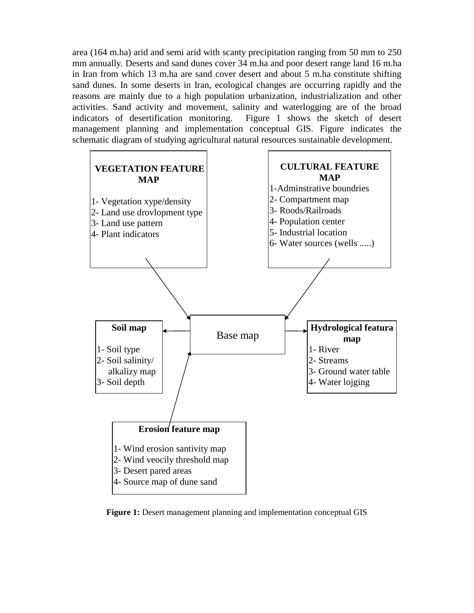area (164 m.ha) arid and semi arid with scanty precipitation ranging from 50 mm to 250 mm annually. Deserts and sand dunes cover 34 m.ha and poor desert range land 16 m.ha in Iran from which 13 m.ha are sand cover desert and about 5 m.ha constitute shifting sand dunes. In some deserts in Iran, ecological changes are occurring rapidly and the reasons are mainly due to a high population urbanization, industrialization and other activities. Sand activity and movement, salinity and waterlogging are of the broad indicators of desertification monitoring. Figure 1 shows the sketch of desert management planning and implementation conceptual GIS. Figure indicates the schematic diagram of studying agricultural natural resources sustainable development.



**Figure 1:** Desert management planning and implementation conceptual GIS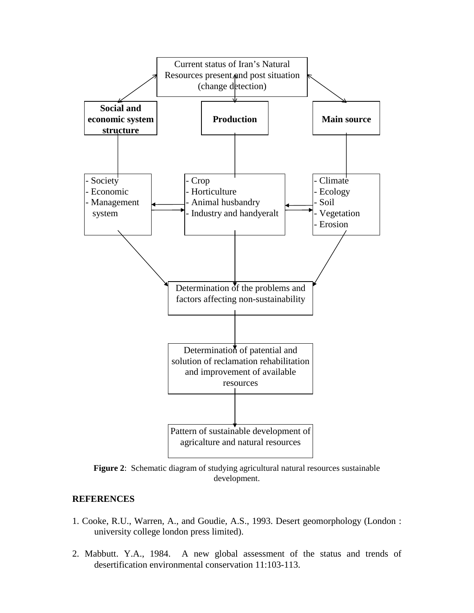

**Figure 2**: Schematic diagram of studying agricultural natural resources sustainable development.

#### **REFERENCES**

- 1. Cooke, R.U., Warren, A., and Goudie, A.S., 1993. Desert geomorphology (London : university college london press limited).
- 2. Mabbutt. Y.A., 1984. A new global assessment of the status and trends of desertification environmental conservation 11:103-113.